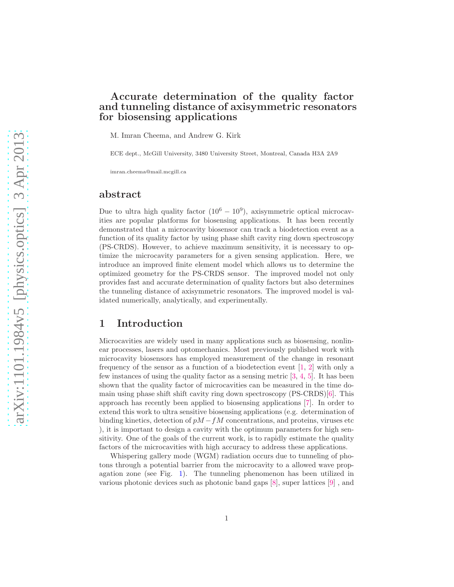# Accurate determination of the quality factor and tunneling distance of axisymmetric resonators for biosensing applications

M. Imran Cheema, and Andrew G. Kirk

ECE dept., McGill University, 3480 University Street, Montreal, Canada H3A 2A9

imran.cheema@mail.mcgill.ca

## abstract

Due to ultra high quality factor  $(10^6 - 10^9)$ , axisymmetric optical microcavities are popular platforms for biosensing applications. It has been recently demonstrated that a microcavity biosensor can track a biodetection event as a function of its quality factor by using phase shift cavity ring down spectroscopy (PS-CRDS). However, to achieve maximum sensitivity, it is necessary to optimize the microcavity parameters for a given sensing application. Here, we introduce an improved finite element model which allows us to determine the optimized geometry for the PS-CRDS sensor. The improved model not only provides fast and accurate determination of quality factors but also determines the tunneling distance of axisymmetric resonators. The improved model is validated numerically, analytically, and experimentally.

# 1 Introduction

Microcavities are widely used in many applications such as biosensing, nonlinear processes, lasers and optomechanics. Most previously published work with microcavity biosensors has employed measurement of the change in resonant frequency of the sensor as a function of a biodetection event  $[1, 2]$  $[1, 2]$  with only a few instances of using the quality factor as a sensing metric [\[3,](#page-13-1) [4,](#page-13-2) [5\]](#page-13-3). It has been shown that the quality factor of microcavities can be measured in the time domain using phase shift shift cavity ring down spectroscopy (PS-CRDS)[\[6\]](#page-13-4). This approach has recently been applied to biosensing applications [\[7\]](#page-13-5). In order to extend this work to ultra sensitive biosensing applications (e.g. determination of binding kinetics, detection of  $pM - fM$  concentrations, and proteins, viruses etc ), it is important to design a cavity with the optimum parameters for high sensitivity. One of the goals of the current work, is to rapidly estimate the quality factors of the microcavities with high accuracy to address these applications.

Whispering gallery mode (WGM) radiation occurs due to tunneling of photons through a potential barrier from the microcavity to a allowed wave propagation zone (see Fig. [1\)](#page-6-0). The tunneling phenomenon has been utilized in various photonic devices such as photonic band gaps [\[8\]](#page-13-6), super lattices [\[9\]](#page-13-7) , and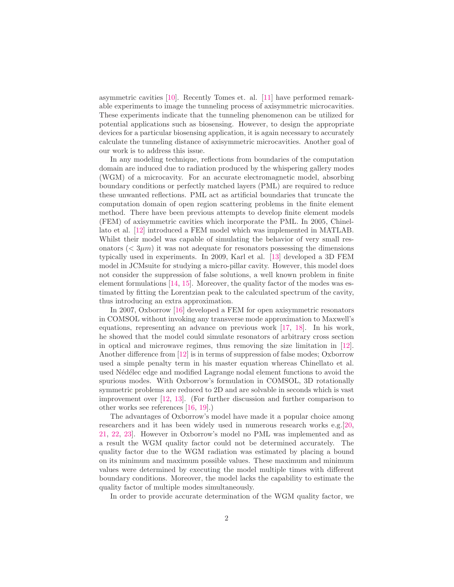asymmetric cavities [\[10\]](#page-13-8). Recently Tomes et. al. [\[11\]](#page-13-9) have performed remarkable experiments to image the tunneling process of axisymmetric microcavities. These experiments indicate that the tunneling phenomenon can be utilized for potential applications such as biosensing. However, to design the appropriate devices for a particular biosensing application, it is again necessary to accurately calculate the tunneling distance of axisymmetric microcavities. Another goal of our work is to address this issue.

In any modeling technique, reflections from boundaries of the computation domain are induced due to radiation produced by the whispering gallery modes (WGM) of a microcavity. For an accurate electromagnetic model, absorbing boundary conditions or perfectly matched layers (PML) are required to reduce these unwanted reflections. PML act as artificial boundaries that truncate the computation domain of open region scattering problems in the finite element method. There have been previous attempts to develop finite element models (FEM) of axisymmetric cavities which incorporate the PML. In 2005, Chinellato et al. [\[12\]](#page-13-10) introduced a FEM model which was implemented in MATLAB. Whilst their model was capable of simulating the behavior of very small resonators ( $\langle 3\mu m \rangle$ ) it was not adequate for resonators possessing the dimensions typically used in experiments. In 2009, Karl et al. [\[13\]](#page-13-11) developed a 3D FEM model in JCMsuite for studying a micro-pillar cavity. However, this model does not consider the suppression of false solutions, a well known problem in finite element formulations [\[14,](#page-13-12) [15\]](#page-14-0). Moreover, the quality factor of the modes was estimated by fitting the Lorentzian peak to the calculated spectrum of the cavity, thus introducing an extra approximation.

In 2007, Oxborrow [\[16\]](#page-14-1) developed a FEM for open axisymmetric resonators in COMSOL without invoking any transverse mode approximation to Maxwell's equations, representing an advance on previous work [\[17,](#page-14-2) [18\]](#page-14-3). In his work, he showed that the model could simulate resonators of arbitrary cross section in optical and microwave regimes, thus removing the size limitation in [\[12\]](#page-13-10). Another difference from [\[12\]](#page-13-10) is in terms of suppression of false modes; Oxborrow used a simple penalty term in his master equation whereas Chinellato et al. used Nédélec edge and modified Lagrange nodal element functions to avoid the spurious modes. With Oxborrow's formulation in COMSOL, 3D rotationally symmetric problems are reduced to 2D and are solvable in seconds which is vast improvement over [\[12,](#page-13-10) [13\]](#page-13-11). (For further discussion and further comparison to other works see references [\[16,](#page-14-1) [19\]](#page-14-4).)

The advantages of Oxborrow's model have made it a popular choice among researchers and it has been widely used in numerous research works e.g.[\[20,](#page-14-5) [21,](#page-14-6) [22,](#page-14-7) [23\]](#page-14-8). However in Oxborrow's model no PML was implemented and as a result the WGM quality factor could not be determined accurately. The quality factor due to the WGM radiation was estimated by placing a bound on its minimum and maximum possible values. These maximum and minimum values were determined by executing the model multiple times with different boundary conditions. Moreover, the model lacks the capability to estimate the quality factor of multiple modes simultaneously.

In order to provide accurate determination of the WGM quality factor, we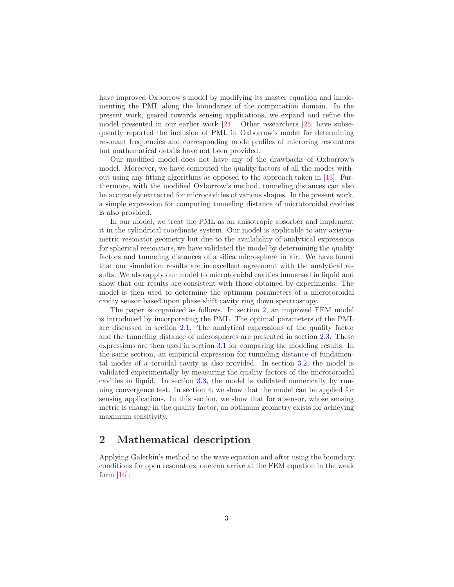have improved Oxborrow's model by modifying its master equation and implementing the PML along the boundaries of the computation domain. In the present work, geared towards sensing applications, we expand and refine the model presented in our earlier work [\[24\]](#page-14-9). Other researchers [\[25\]](#page-14-10) have subsequently reported the inclusion of PML in Oxborrow's model for determining resonant frequencies and corresponding mode profiles of microring resonators but mathematical details have not been provided.

Our modified model does not have any of the drawbacks of Oxborrow's model. Moreover, we have computed the quality factors of all the modes without using any fitting algorithms as opposed to the approach taken in [\[13\]](#page-13-11). Furthermore, with the modified Oxborrow's method, tunneling distances can also be accurately extracted for microcavities of various shapes. In the present work, a simple expression for computing tunneling distance of microtoroidal cavities is also provided.

In our model, we treat the PML as an anisotropic absorber and implement it in the cylindrical coordinate system. Our model is applicable to any axisymmetric resonator geometry but due to the availability of analytical expressions for spherical resonators, we have validated the model by determining the quality factors and tunneling distances of a silica microsphere in air. We have found that our simulation results are in excellent agreement with the analytical results. We also apply our model to microtoroidal cavities immersed in liquid and show that our results are consistent with those obtained by experiments. The model is then used to determine the optimum parameters of a microtoroidal cavity sensor based upon phase shift cavity ring down spectroscopy.

The paper is organized as follows. In section [2,](#page-2-0) an improved FEM model is introduced by incorporating the PML. The optimal parameters of the PML are discussed in section [2.1.](#page-3-0) The analytical expressions of the quality factor and the tunneling distance of microspheres are presented in section [2.3.](#page-4-0) These expressions are then used in section [3.1](#page-6-1) for comparing the modeling results. In the same section, an empirical expression for tunneling distance of fundamental modes of a toroidal cavity is also provided. In section [3.2,](#page-7-0) the model is validated experimentally by measuring the quality factors of the microtoroidal cavities in liquid. In section [3.3,](#page-9-0) the model is validated numerically by running convergence test. In section [4,](#page-10-0) we show that the model can be applied for sensing applications. In this section, we show that for a sensor, whose sensing metric is change in the quality factor, an optimum geometry exists for achieving maximum sensitivity.

# <span id="page-2-0"></span>2 Mathematical description

Applying Galerkin's method to the wave equation and after using the boundary conditions for open resonators, one can arrive at the FEM equation in the weak form  $[16]$ :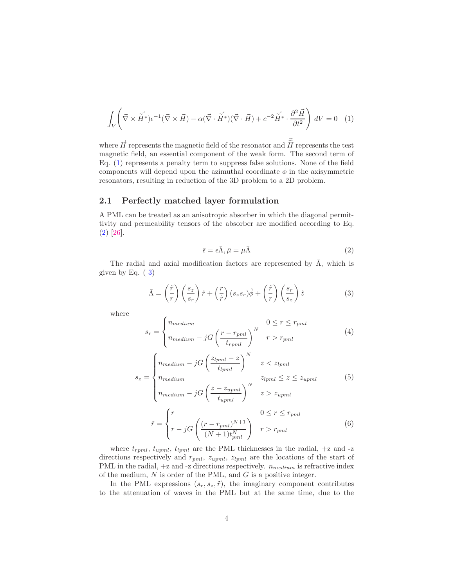<span id="page-3-1"></span>
$$
\int_{V} \left( \vec{\nabla} \times \vec{\tilde{H}}^* \right) e^{-1} (\vec{\nabla} \times \vec{H}) - \alpha (\vec{\nabla} \cdot \vec{\tilde{H}}^*) (\vec{\nabla} \cdot \vec{H}) + c^{-2} \vec{\tilde{H}}^* \cdot \frac{\partial^2 \vec{H}}{\partial t^2} \right) dV = 0 \quad (1)
$$

where  $\vec{H}$  represents the magnetic field of the resonator and  $\tilde{\vec{H}}$  represents the test magnetic field, an essential component of the weak form. The second term of Eq. [\(1\)](#page-3-1) represents a penalty term to suppress false solutions. None of the field components will depend upon the azimuthal coordinate  $\phi$  in the axisymmetric resonators, resulting in reduction of the 3D problem to a 2D problem.

#### <span id="page-3-0"></span>2.1 Perfectly matched layer formulation

A PML can be treated as an anisotropic absorber in which the diagonal permittivity and permeability tensors of the absorber are modified according to Eq. [\(2\)](#page-3-2) [\[26\]](#page-14-11).

<span id="page-3-2"></span>
$$
\bar{\epsilon} = \epsilon \bar{\Lambda}, \bar{\mu} = \mu \bar{\Lambda}
$$
 (2)

The radial and axial modification factors are represented by  $\bar{\Lambda}$ , which is given by Eq.  $(3)$  $(3)$ 

<span id="page-3-3"></span>
$$
\bar{\Lambda} = \left(\frac{\tilde{r}}{r}\right) \left(\frac{s_z}{s_r}\right) \hat{r} + \left(\frac{r}{\tilde{r}}\right) (s_z s_r) \hat{\phi} + \left(\frac{\tilde{r}}{r}\right) \left(\frac{s_r}{s_z}\right) \hat{z}
$$
(3)

where

$$
s_r = \begin{cases} n_{medium} & 0 \le r \le r_{pml} \\ n_{medium} - jG\left(\frac{r - r_{pml}}{t_{rpml}}\right)^N & r > r_{pml} \end{cases}
$$
(4)

$$
s_z = \begin{cases} n_{medium} - jG\left(\frac{z_{lpml} - z}{t_{lpml}}\right)^N & z < z_{lpml} \\ n_{medium} & z_{lpml} \le z \le z_{upml} \end{cases} \tag{5}
$$

$$
\begin{cases} n_{medium} - jG \left( \frac{z - z_{upml}}{t_{upml}} \right)^N & z > z_{upml} \end{cases}
$$

$$
\begin{cases} r & 0 \le r \le r_{pml} \end{cases}
$$

$$
\tilde{r} = \begin{cases}\nr & 0 \le r \le r_{pml} \\
r - jG\left(\frac{(r - r_{pml})^{N+1}}{(N+1)t_{pml}^{N}}\right) & r > r_{pml}\n\end{cases}
$$
\n(6)

where  $t_{rpml}$ ,  $t_{tpml}$ ,  $t_{lpml}$  are the PML thicknesses in the radial,  $+z$  and  $-z$ directions respectively and  $r_{pml}$ ,  $z_{upml}$ ,  $z_{lpml}$  are the locations of the start of PML in the radial,  $+z$  and  $-z$  directions respectively.  $n_{medium}$  is refractive index of the medium,  $N$  is order of the PML, and  $G$  is a positive integer.

In the PML expressions  $(s_r, s_z, \tilde{r})$ , the imaginary component contributes to the attenuation of waves in the PML but at the same time, due to the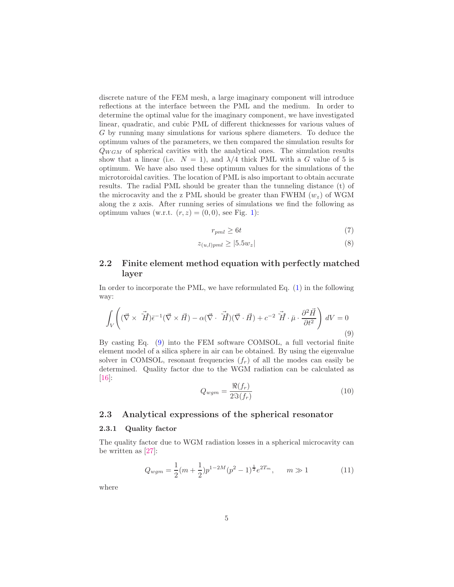discrete nature of the FEM mesh, a large imaginary component will introduce reflections at the interface between the PML and the medium. In order to determine the optimal value for the imaginary component, we have investigated linear, quadratic, and cubic PML of different thicknesses for various values of G by running many simulations for various sphere diameters. To deduce the optimum values of the parameters, we then compared the simulation results for  $Q_{WGM}$  of spherical cavities with the analytical ones. The simulation results show that a linear (i.e.  $N = 1$ ), and  $\lambda/4$  thick PML with a G value of 5 is optimum. We have also used these optimum values for the simulations of the microtoroidal cavities. The location of PML is also important to obtain accurate results. The radial PML should be greater than the tunneling distance (t) of the microcavity and the z PML should be greater than FWHM  $(w_z)$  of WGM along the z axis. After running series of simulations we find the following as optimum values (w.r.t.  $(r, z) = (0, 0)$ , see Fig. [1\)](#page-6-0):

$$
r_{pml} \ge 6t \tag{7}
$$

$$
z_{(u,l)pml} \ge |5.5w_z| \tag{8}
$$

## 2.2 Finite element method equation with perfectly matched layer

In order to incorporate the PML, we have reformulated Eq. [\(1\)](#page-3-1) in the following way:

<span id="page-4-1"></span>
$$
\int_{V} \left( (\vec{\nabla} \times \tilde{\vec{H}}) \bar{\epsilon}^{-1} (\vec{\nabla} \times \vec{H}) - \alpha (\vec{\nabla} \cdot \tilde{\vec{H}}) (\vec{\nabla} \cdot \vec{H}) + c^{-2} \tilde{\vec{H}} \cdot \bar{\mu} \cdot \frac{\partial^2 \vec{H}}{\partial t^2} \right) dV = 0
$$
\n(9)

By casting Eq. [\(9\)](#page-4-1) into the FEM software COMSOL, a full vectorial finite element model of a silica sphere in air can be obtained. By using the eigenvalue solver in COMSOL, resonant frequencies  $(f_r)$  of all the modes can easily be determined. Quality factor due to the WGM radiation can be calculated as [\[16\]](#page-14-1):

$$
Q_{wgm} = \frac{\Re(f_r)}{2\Im(f_r)}\tag{10}
$$

#### <span id="page-4-0"></span>2.3 Analytical expressions of the spherical resonator

#### 2.3.1 Quality factor

The quality factor due to WGM radiation losses in a spherical microcavity can be written as [\[27\]](#page-14-12):

<span id="page-4-2"></span>
$$
Q_{wgm} = \frac{1}{2}(m + \frac{1}{2})p^{1-2M}(p^2 - 1)^{\frac{1}{2}}e^{2T_m}, \qquad m \gg 1
$$
 (11)

where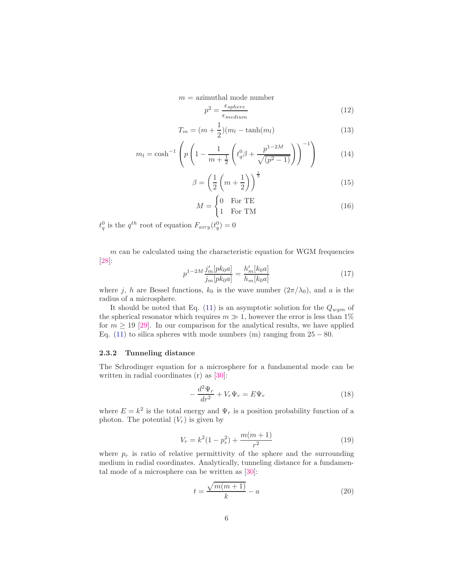$m =$  azimuthal mode number

$$
p^2 = \frac{\epsilon_{sphere}}{\epsilon_{medium}}\tag{12}
$$

$$
T_m = (m + \frac{1}{2})(m_l - \tanh(m_l))
$$
\n(13)

$$
m_l = \cosh^{-1}\left(p\left(1 - \frac{1}{m + \frac{1}{2}}\left(t_q^0 \beta + \frac{p^{1-2M}}{\sqrt{(p^2 - 1)}}\right)\right)^{-1}\right) \tag{14}
$$

$$
\beta = \left(\frac{1}{2}\left(m + \frac{1}{2}\right)\right)^{\frac{1}{3}}\tag{15}
$$

$$
M = \begin{cases} 0 & \text{For TE} \\ 1 & \text{For TM} \end{cases}
$$
 (16)

 $t_q^0$  is the  $q^{th}$  root of equation  $F_{airy}(t_q^0) = 0$ 

 $m$  can be calculated using the characteristic equation for WGM frequencies [\[28\]](#page-14-13):

$$
p^{1-2M} \frac{j'_m[pk_0a]}{j_m[pk_0a]} = \frac{h'_m[k_0a]}{h_m[k_0a]}
$$
\n(17)

where j, h are Bessel functions,  $k_0$  is the wave number  $(2\pi/\lambda_0)$ , and a is the radius of a microsphere.

It should be noted that Eq. [\(11\)](#page-4-2) is an asymptotic solution for the  $Q_{wgm}$  of the spherical resonator which requires  $m \gg 1$ , however the error is less than 1% for  $m \geq 19$  [\[29\]](#page-15-0). In our comparison for the analytical results, we have applied Eq. [\(11\)](#page-4-2) to silica spheres with mode numbers (m) ranging from  $25 - 80$ .

#### 2.3.2 Tunneling distance

The Schrodinger equation for a microsphere for a fundamental mode can be written in radial coordinates (r) as [\[30\]](#page-15-1):

$$
-\frac{d^2\Psi_r}{dr^2} + V_r\Psi_r = E\Psi_r \tag{18}
$$

where  $E = k^2$  is the total energy and  $\Psi_r$  is a position probability function of a photon. The potential  $(V_r)$  is given by

$$
V_r = k^2(1 - p_r^2) + \frac{m(m+1)}{r^2}
$$
\n(19)

where  $p_r$  is ratio of relative permittivity of the sphere and the surrounding medium in radial coordinates. Analytically, tunneling distance for a fundamental mode of a microsphere can be written as [\[30\]](#page-15-1):

$$
t = \frac{\sqrt{m(m+1)}}{k} - a \tag{20}
$$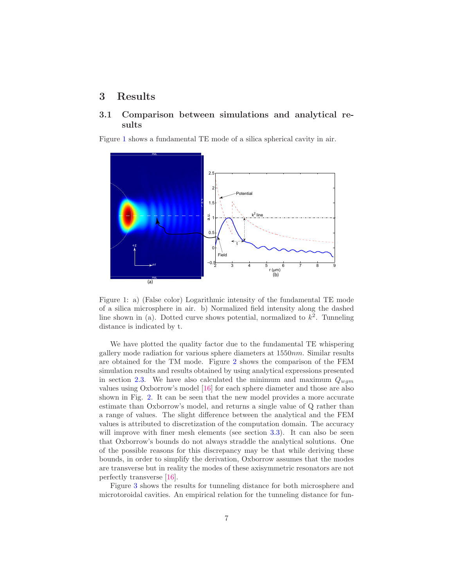# <span id="page-6-1"></span>3 Results

## 3.1 Comparison between simulations and analytical results

Figure [1](#page-6-0) shows a fundamental TE mode of a silica spherical cavity in air.



<span id="page-6-0"></span>Figure 1: a) (False color) Logarithmic intensity of the fundamental TE mode of a silica microsphere in air. b) Normalized field intensity along the dashed line shown in (a). Dotted curve shows potential, normalized to  $k^2$ . Tunneling distance is indicated by t.

We have plotted the quality factor due to the fundamental TE whispering gallery mode radiation for various sphere diameters at 1550nm. Similar results are obtained for the TM mode. Figure [2](#page-7-1) shows the comparison of the FEM simulation results and results obtained by using analytical expressions presented in section [2.3.](#page-4-0) We have also calculated the minimum and maximum  $Q_{wgm}$ values using Oxborrow's model [\[16\]](#page-14-1) for each sphere diameter and those are also shown in Fig. [2.](#page-7-1) It can be seen that the new model provides a more accurate estimate than Oxborrow's model, and returns a single value of Q rather than a range of values. The slight difference between the analytical and the FEM values is attributed to discretization of the computation domain. The accuracy will improve with finer mesh elements (see section [3.3\)](#page-9-0). It can also be seen that Oxborrow's bounds do not always straddle the analytical solutions. One of the possible reasons for this discrepancy may be that while deriving these bounds, in order to simplify the derivation, Oxborrow assumes that the modes are transverse but in reality the modes of these axisymmetric resonators are not perfectly transverse [\[16\]](#page-14-1).

Figure [3](#page-8-0) shows the results for tunneling distance for both microsphere and microtoroidal cavities. An empirical relation for the tunneling distance for fun-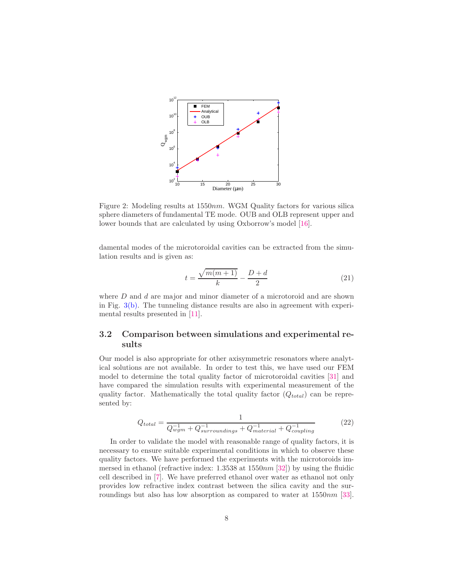

<span id="page-7-1"></span>Figure 2: Modeling results at 1550nm. WGM Quality factors for various silica sphere diameters of fundamental TE mode. OUB and OLB represent upper and lower bounds that are calculated by using Oxborrow's model [\[16\]](#page-14-1).

damental modes of the microtoroidal cavities can be extracted from the simulation results and is given as:

<span id="page-7-3"></span>
$$
t = \frac{\sqrt{m(m+1)}}{k} - \frac{D+d}{2} \tag{21}
$$

where  $D$  and  $d$  are major and minor diameter of a microtoroid and are shown in Fig.  $3(b)$ . The tunneling distance results are also in agreement with experimental results presented in [\[11\]](#page-13-9).

## <span id="page-7-0"></span>3.2 Comparison between simulations and experimental results

Our model is also appropriate for other axisymmetric resonators where analytical solutions are not available. In order to test this, we have used our FEM model to determine the total quality factor of microtoroidal cavities [\[31\]](#page-15-2) and have compared the simulation results with experimental measurement of the quality factor. Mathematically the total quality factor  $(Q_{total})$  can be represented by:

<span id="page-7-2"></span>
$$
Q_{total} = \frac{1}{Q_{wgm}^{-1} + Q_{surroundings}^{-1} + Q_{material}^{-1} + Q_{coupling}^{-1}}
$$
(22)

In order to validate the model with reasonable range of quality factors, it is necessary to ensure suitable experimental conditions in which to observe these quality factors. We have performed the experiments with the microtoroids immersed in ethanol (refractive index:  $1.3538$  at  $1550nm$  [\[32\]](#page-15-3)) by using the fluidic cell described in [\[7\]](#page-13-5). We have preferred ethanol over water as ethanol not only provides low refractive index contrast between the silica cavity and the sur-roundings but also has low absorption as compared to water at 1550nm [\[33\]](#page-15-4).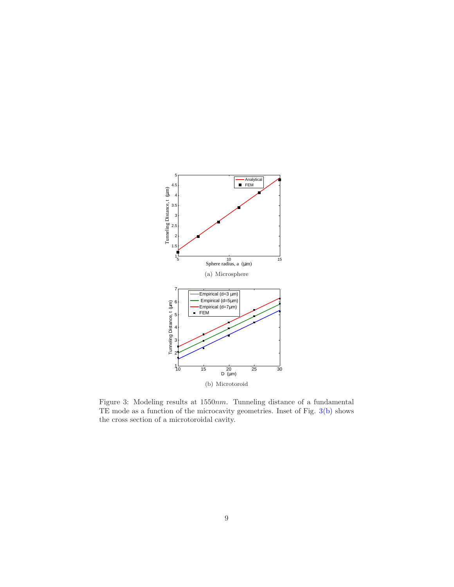

<span id="page-8-1"></span><span id="page-8-0"></span>Figure 3: Modeling results at 1550nm. Tunneling distance of a fundamental TE mode as a function of the microcavity geometries. Inset of Fig. [3\(b\)](#page-8-1) shows the cross section of a microtoroidal cavity.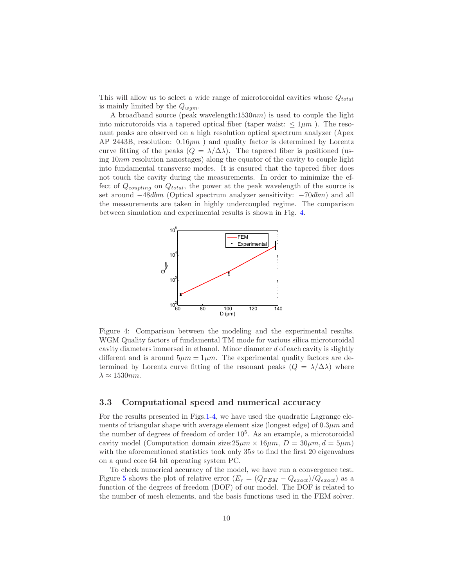This will allow us to select a wide range of microtoroidal cavities whose  $Q_{total}$ is mainly limited by the  $Q_{wqm}$ .

A broadband source (peak wavelength: $1530nm$ ) is used to couple the light into microtoroids via a tapered optical fiber (taper waist:  $\leq 1 \mu m$ ). The resonant peaks are observed on a high resolution optical spectrum analyzer (Apex AP 2443B, resolution: 0.16pm ) and quality factor is determined by Lorentz curve fitting of the peaks  $(Q = \lambda/\Delta\lambda)$ . The tapered fiber is positioned (using  $10nm$  resolution nanostages) along the equator of the cavity to couple light into fundamental transverse modes. It is ensured that the tapered fiber does not touch the cavity during the measurements. In order to minimize the effect of  $Q_{coupling}$  on  $Q_{total}$ , the power at the peak wavelength of the source is set around  $-48dbm$  (Optical spectrum analyzer sensitivity:  $-70dbm$ ) and all the measurements are taken in highly undercoupled regime. The comparison between simulation and experimental results is shown in Fig. [4.](#page-9-1)



<span id="page-9-1"></span>Figure 4: Comparison between the modeling and the experimental results. WGM Quality factors of fundamental TM mode for various silica microtoroidal cavity diameters immersed in ethanol. Minor diameter d of each cavity is slightly different and is around  $5\mu m \pm 1\mu m$ . The experimental quality factors are determined by Lorentz curve fitting of the resonant peaks  $(Q = \lambda/\Delta\lambda)$  where  $\lambda \approx 1530$ nm.

### <span id="page-9-0"></span>3.3 Computational speed and numerical accuracy

For the results presented in Figs[.1-](#page-6-0)[4,](#page-9-1) we have used the quadratic Lagrange elements of triangular shape with average element size (longest edge) of  $0.3 \mu m$  and the number of degrees of freedom of order  $10<sup>5</sup>$ . As an example, a microtoroidal cavity model (Computation domain size:  $25\mu m \times 16\mu m$ ,  $D = 30\mu m$ ,  $d = 5\mu m$ ) with the aforementioned statistics took only 35s to find the first 20 eigenvalues on a quad core 64 bit operating system PC.

To check numerical accuracy of the model, we have run a convergence test. Figure [5](#page-10-1) shows the plot of relative error  $(E_r = (Q_{FEM} - Q_{exact})/Q_{exact}$  as a function of the degrees of freedom (DOF) of our model. The DOF is related to the number of mesh elements, and the basis functions used in the FEM solver.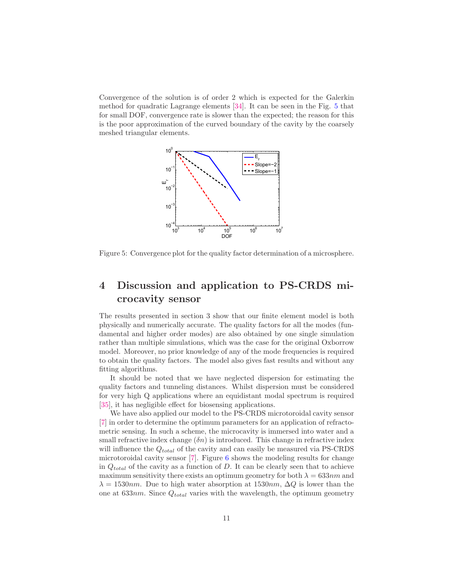Convergence of the solution is of order 2 which is expected for the Galerkin method for quadratic Lagrange elements [\[34\]](#page-15-5). It can be seen in the Fig. [5](#page-10-1) that for small DOF, convergence rate is slower than the expected; the reason for this is the poor approximation of the curved boundary of the cavity by the coarsely meshed triangular elements.



<span id="page-10-1"></span>Figure 5: Convergence plot for the quality factor determination of a microsphere.

# <span id="page-10-0"></span>4 Discussion and application to PS-CRDS microcavity sensor

The results presented in section 3 show that our finite element model is both physically and numerically accurate. The quality factors for all the modes (fundamental and higher order modes) are also obtained by one single simulation rather than multiple simulations, which was the case for the original Oxborrow model. Moreover, no prior knowledge of any of the mode frequencies is required to obtain the quality factors. The model also gives fast results and without any fitting algorithms.

It should be noted that we have neglected dispersion for estimating the quality factors and tunneling distances. Whilst dispersion must be considered for very high Q applications where an equidistant modal spectrum is required [\[35\]](#page-15-6), it has negligible effect for biosensing applications.

We have also applied our model to the PS-CRDS microtoroidal cavity sensor [\[7\]](#page-13-5) in order to determine the optimum parameters for an application of refractometric sensing. In such a scheme, the microcavity is immersed into water and a small refractive index change  $(\delta n)$  is introduced. This change in refractive index will influence the  $Q_{total}$  of the cavity and can easily be measured via PS-CRDS microtoroidal cavity sensor [\[7\]](#page-13-5). Figure [6](#page-11-0) shows the modeling results for change in  $Q_{total}$  of the cavity as a function of D. It can be clearly seen that to achieve maximum sensitivity there exists an optimum geometry for both  $\lambda = 633nm$  and  $\lambda = 1530nm$ . Due to high water absorption at  $1530nm$ ,  $\Delta Q$  is lower than the one at  $633nm$ . Since  $Q_{total}$  varies with the wavelength, the optimum geometry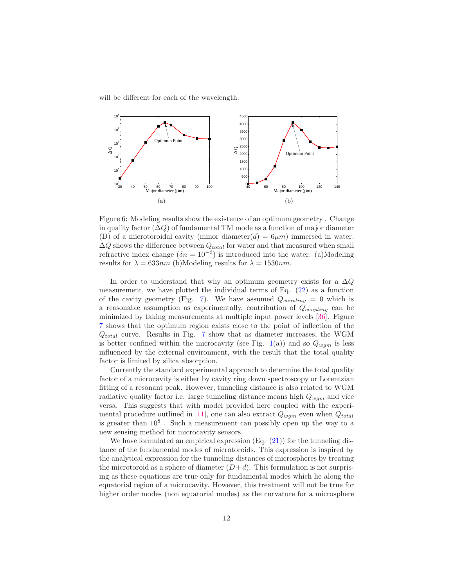will be different for each of the wavelength.



<span id="page-11-0"></span>Figure 6: Modeling results show the existence of an optimum geometry . Change in quality factor  $(\Delta Q)$  of fundamental TM mode as a function of major diameter (D) of a microtoroidal cavity (minor diameter(d) =  $6\mu m$ ) immersed in water.  $\Delta Q$  shows the difference between  $Q_{total}$  for water and that measured when small refractive index change  $(\delta n = 10^{-3})$  is introduced into the water. (a)Modeling results for  $\lambda = 633nm$  (b)Modeling results for  $\lambda = 1530nm$ .

In order to understand that why an optimum geometry exists for a  $\Delta Q$ measurement, we have plotted the individual terms of Eq. [\(22\)](#page-7-2) as a function of the cavity geometry (Fig. [7\)](#page-12-1). We have assumed  $Q_{coupling} = 0$  which is a reasonable assumption as experimentally, contribution of  $Q_{coupling}$  can be minimized by taking measurements at multiple input power levels [\[36\]](#page-15-7). Figure [7](#page-12-1) shows that the optimum region exists close to the point of inflection of the  $Q_{total}$  curve. Results in Fig. [7](#page-12-1) show that as diameter increases, the WGM is better confined within the microcavity (see Fig. [1\(](#page-6-0)a)) and so  $Q_{wgm}$  is less influenced by the external environment, with the result that the total quality factor is limited by silica absorption.

Currently the standard experimental approach to determine the total quality factor of a microcavity is either by cavity ring down spectroscopy or Lorentzian fitting of a resonant peak. However, tunneling distance is also related to WGM radiative quality factor i.e. large tunneling distance means high  $Q_{wgm}$  and vice versa. This suggests that with model provided here coupled with the experi-mental procedure outlined in [\[11\]](#page-13-9), one can also extract  $Q_{wqm}$  even when  $Q_{total}$ is greater than  $10^8$ . Such a measurement can possibly open up the way to a new sensing method for microcavity sensors.

We have formulated an empirical expression  $(Eq. (21))$  $(Eq. (21))$  $(Eq. (21))$  for the tunneling distance of the fundamental modes of microtoroids. This expression is inspired by the analytical expression for the tunneling distances of microspheres by treating the microtoroid as a sphere of diameter  $(D+d)$ . This formulation is not surprising as these equations are true only for fundamental modes which lie along the equatorial region of a microcavity. However, this treatment will not be true for higher order modes (non equatorial modes) as the curvature for a microsphere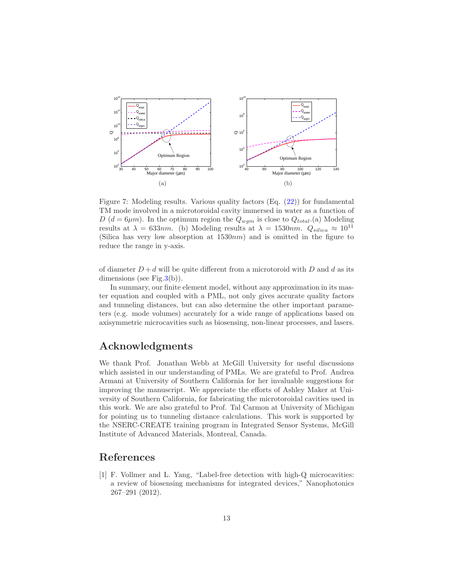

<span id="page-12-1"></span>Figure 7: Modeling results. Various quality factors (Eq. [\(22\)](#page-7-2)) for fundamental TM mode involved in a microtoroidal cavity immersed in water as a function of D ( $d = 6\mu m$ ). In the optimum region the  $Q_{wgm}$  is close to  $Q_{total}.$  (a) Modeling results at  $\lambda = 633nm$ . (b) Modeling results at  $\lambda = 1530nm$ .  $Q_{silica} \approx 10^{11}$ (Silica has very low absorption at  $1530nm$ ) and is omitted in the figure to reduce the range in y-axis.

of diameter  $D + d$  will be quite different from a microtoroid with D and d as its dimensions (see Fig.  $3(b)$ ).

In summary, our finite element model, without any approximation in its master equation and coupled with a PML, not only gives accurate quality factors and tunneling distances, but can also determine the other important parameters (e.g. mode volumes) accurately for a wide range of applications based on axisymmetric microcavities such as biosensing, non-linear processes, and lasers.

# Acknowledgments

We thank Prof. Jonathan Webb at McGill University for useful discussions which assisted in our understanding of PMLs. We are grateful to Prof. Andrea Armani at University of Southern California for her invaluable suggestions for improving the manuscript. We appreciate the efforts of Ashley Maker at University of Southern California, for fabricating the microtoroidal cavities used in this work. We are also grateful to Prof. Tal Carmon at University of Michigan for pointing us to tunneling distance calculations. This work is supported by the NSERC-CREATE training program in Integrated Sensor Systems, McGill Institute of Advanced Materials, Montreal, Canada.

# <span id="page-12-0"></span>References

[1] F. Vollmer and L. Yang, "Label-free detection with high-Q microcavities: a review of biosensing mechanisms for integrated devices," Nanophotonics 267–291 (2012).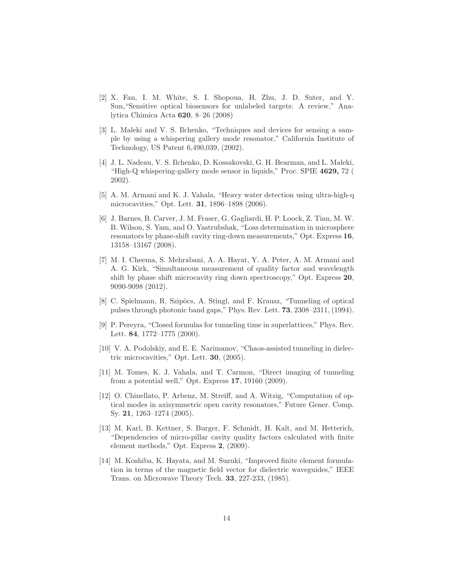- <span id="page-13-0"></span>[2] X. Fan, I. M. White, S. I. Shopoua, H. Zhu, J. D. Suter, and Y. Sun,"Sensitive optical biosensors for unlabeled targets: A review," Analytica Chimica Acta 620, 8–26 (2008)
- <span id="page-13-1"></span>[3] L. Maleki and V. S. Ilchenko, "Techniques and devices for sensing a sample by using a whispering gallery mode resonator," California Institute of Technology, US Patent 6,490,039, (2002).
- <span id="page-13-2"></span>[4] J. L. Nadeau, V. S. Ilchenko, D. Kossakovski, G. H. Bearman, and L. Maleki, "High-Q whispering-gallery mode sensor in liquids," Proc. SPIE 4629, 72 ( 2002).
- <span id="page-13-3"></span>[5] A. M. Armani and K. J. Vahala, "Heavy water detection using ultra-high-q microcavities," Opt. Lett. 31, 1896–1898 (2006).
- <span id="page-13-4"></span>[6] J. Barnes, B. Carver, J. M. Fraser, G. Gagliardi, H. P. Loock, Z. Tian, M. W. B. Wilson, S. Yam, and O. Yastrubshak, "Loss determination in microsphere resonators by phase-shift cavity ring-down measurements," Opt. Express 16, 13158–13167 (2008).
- <span id="page-13-5"></span>[7] M. I. Cheema, S. Mehrabani, A. A. Hayat, Y. A. Peter, A. M. Armani and A. G. Kirk, "Simultaneous measurement of quality factor and wavelength shift by phase shift microcavity ring down spectroscopy," Opt. Express 20, 9090-9098 (2012).
- <span id="page-13-6"></span>[8] C. Spielmann, R. Szipöcs, A. Stingl, and F. Krausz, "Tunneling of optical pulses through photonic band gaps," Phys. Rev. Lett. 73, 2308–2311, (1994).
- <span id="page-13-7"></span>[9] P. Pereyra, "Closed formulas for tunneling time in superlattices," Phys. Rev. Lett. 84, 1772–1775 (2000).
- <span id="page-13-8"></span>[10] V. A. Podolskiy, and E. E. Narimanov, "Chaos-assisted tunneling in dielectric microcavities," Opt. Lett. 30, (2005).
- <span id="page-13-9"></span>[11] M. Tomes, K. J. Vahala, and T. Carmon, "Direct imaging of tunneling from a potential well," Opt. Express 17, 19160 (2009).
- <span id="page-13-10"></span>[12] O. Chinellato, P. Arbenz, M. Streiff, and A. Witzig, "Computation of optical modes in axisymmetric open cavity resonators," Future Gener. Comp. Sy. 21, 1263–1274 (2005).
- <span id="page-13-11"></span>[13] M. Karl, B. Kettner, S. Burger, F. Schmidt, H. Kalt, and M. Hetterich, "Dependencies of micro-pillar cavity quality factors calculated with finite element methods," Opt. Express 2, (2009).
- <span id="page-13-12"></span>[14] M. Koshiba, K. Hayata, and M. Suzuki, "Improved finite element formulation in terms of the magnetic field vector for dielectric waveguides," IEEE Trans. on Microwave Theory Tech. 33, 227-233, (1985).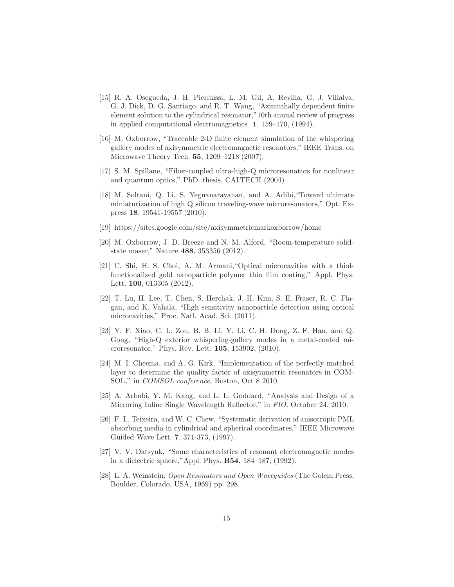- <span id="page-14-0"></span>[15] R. A. Osegueda, J. H. Pierluissi, L. M. Gil, A. Revilla, G. J. Villalva, G. J. Dick, D. G. Santiago, and R. T. Wang, "Azimuthally dependent finite element solution to the cylindrical resonator,"10th annual review of progress in applied computational electromagnetics 1, 159–170, (1994).
- <span id="page-14-1"></span>[16] M. Oxborrow, "Traceable 2-D finite element simulation of the whispering gallery modes of axisymmetric electromagnetic resonators," IEEE Trans. on Microwave Theory Tech. 55, 1209–1218 (2007).
- <span id="page-14-2"></span>[17] S. M. Spillane, "Fiber-coupled ultra-high-Q microresonators for nonlinear and quantum optics," PhD. thesis, CALTECH (2004)
- <span id="page-14-3"></span>[18] M. Soltani, Q. Li, S. Yegnanarayanan, and A. Adibi,"Toward ultimate miniaturization of high Q silicon traveling-wave microresonators," Opt. Express 18, 19541-19557 (2010).
- <span id="page-14-5"></span><span id="page-14-4"></span>[19] https://sites.google.com/site/axisymmetricmarkoxborrow/home
- [20] M. Oxborrow, J. D. Breeze and N. M. Alford, "Room-temperature solidstate maser," Nature 488, 353356 (2012).
- <span id="page-14-6"></span>[21] C. Shi, H. S. Choi, A. M. Armani,"Optical microcavities with a thiolfunctionalized gold nanoparticle polymer thin film coating," Appl. Phys. Lett. 100, 013305 (2012).
- <span id="page-14-7"></span>[22] T. Lu, H. Lee, T. Chen, S. Herchak, J. H. Kim, S. E. Fraser, R. C. Flagan, and K. Vahala, "High sensitivity nanoparticle detection using optical microcavities," Proc. Natl. Acad. Sci. (2011).
- <span id="page-14-8"></span>[23] Y. F. Xiao, C. L. Zou, B. B. Li, Y. Li, C. H. Dong, Z. F. Han, and Q. Gong, "High-Q exterior whispering-gallery modes in a metal-coated microresonator," Phys. Rev. Lett. 105, 153902, (2010).
- <span id="page-14-9"></span>[24] M. I. Cheema, and A. G. Kirk. "Implementation of the perfectly matched layer to determine the quality factor of axisymmetric resonators in COM-SOL," in COMSOL conference, Boston, Oct 8 2010.
- <span id="page-14-10"></span>[25] A. Arbabi, Y. M. Kang, and L. L. Goddard, "Analysis and Design of a Microring Inline Single Wavelength Reflector," in FIO, October 24, 2010.
- <span id="page-14-11"></span>[26] F. L. Teixeira, and W. C. Chew, "Systematic derivation of anisotropic PML absorbing media in cylindrical and spherical coordinates," IEEE Microwave Guided Wave Lett. 7, 371-373, (1997).
- <span id="page-14-12"></span>[27] V. V. Datsyuk, "Some characteristics of resonant electromagnetic modes in a dielectric sphere,"Appl. Phys. B54, 184–187, (1992).
- <span id="page-14-13"></span>[28] L. A. Weinstein, Open Resonators and Open Waveguides (The Golem Press, Boulder, Colorado, USA, 1969) pp. 298.